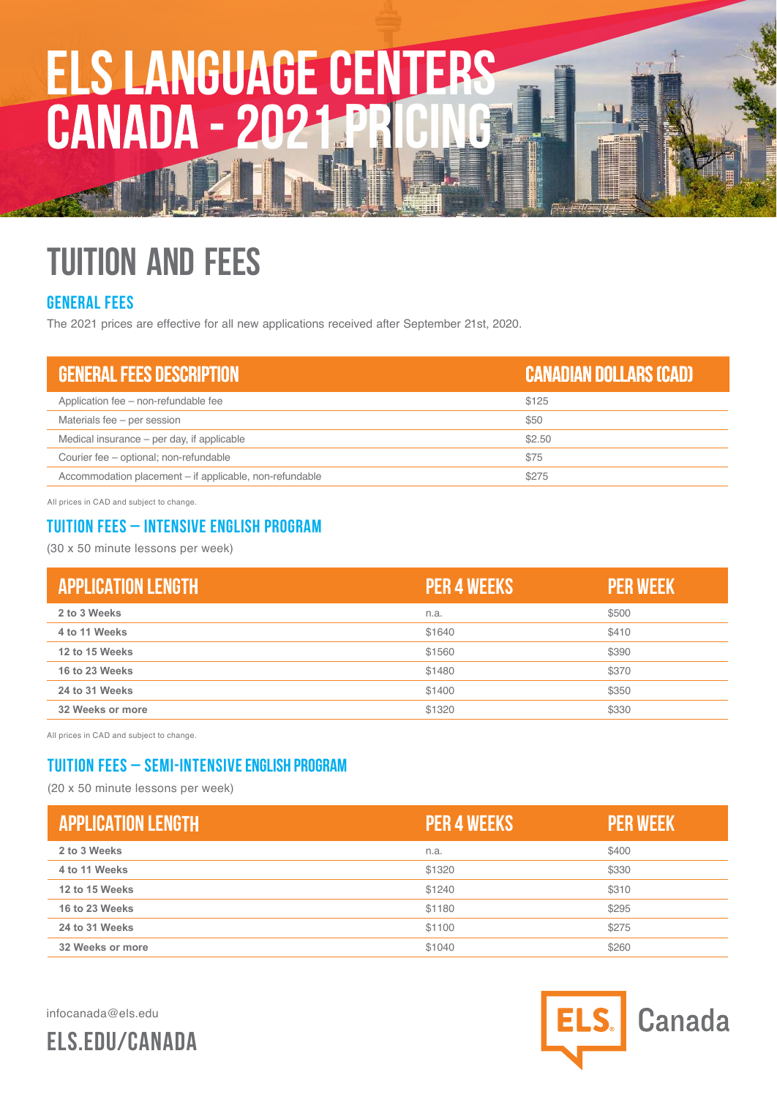# **ELS LANGUAGE CENTERS PRICING**

## **TUITION AND FEES**

#### **General fees**

The 2021 prices are effective for all new applications received after September 2 1st, 2020.

| <b>GENERAL FEES DESCRIPTION</b>                         | CANADIAN DOLLARS (CAD) |
|---------------------------------------------------------|------------------------|
| Application fee - non-refundable fee                    | \$125                  |
| Materials fee – per session                             | \$50                   |
| Medical insurance – per day, if applicable              | \$2.50                 |
| Courier fee - optional; non-refundable                  | \$75                   |
| Accommodation placement – if applicable, non-refundable | \$275                  |

All prices in CAD and subject to change.

#### **Tuition Fees – Intensive english program**

(30 x 50 minute lessons per week)

| <b>APPLICATION LENGTH</b> | <b>I PER 4 WEEKS !</b> | <b>PER WEEK</b> |
|---------------------------|------------------------|-----------------|
| 2 to 3 Weeks              | n.a.                   | \$500           |
| 4 to 11 Weeks             | \$1640                 | \$410           |
| 12 to 15 Weeks            | \$1560                 | \$390           |
| 16 to 23 Weeks            | \$1480                 | \$370           |
| 24 to 31 Weeks            | \$1400                 | \$350           |
| 32 Weeks or more          | \$1320                 | \$330           |

All prices in CAD and subject to change.

### **Tuition Fees – Semi-intensive English Program**

(20 x 50 minute lessons per week)

| <b>APPLICATION LENGTH</b> | <b>PER 4 WEEKS</b> | <b>PER WEEK</b> |
|---------------------------|--------------------|-----------------|
| 2 to 3 Weeks              | n.a.               | \$400           |
| 4 to 11 Weeks             | \$1320             | \$330           |
| 12 to 15 Weeks            | \$1240             | \$310           |
| 16 to 23 Weeks            | \$1180             | \$295           |
| 24 to 31 Weeks            | \$1100             | \$275           |
| 32 Weeks or more          | \$1040             | \$260           |

infocanada@els.edu

**ELS.EDU/CANADA**

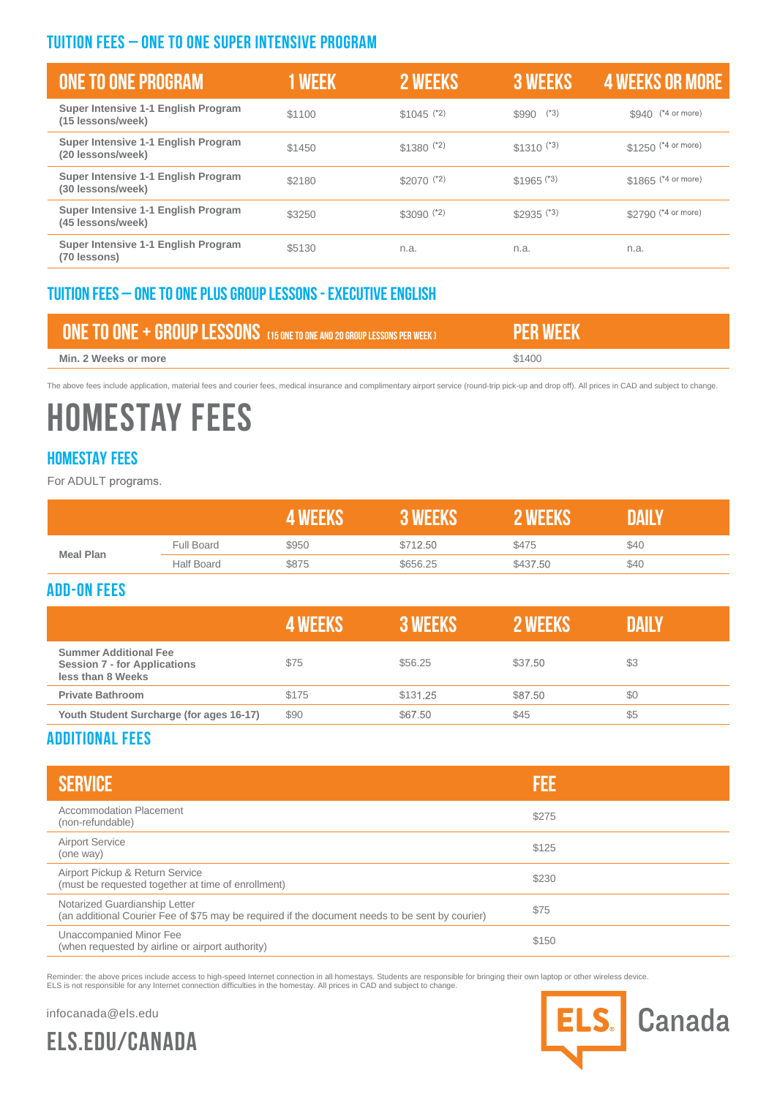#### **Tuition Fees – ONE TO ONE super intensive program**

| ONE TO ONE PROGRAM                                       | <b>1 WEEK</b> | 2 WEEKS                 | <b>3 WEEKS</b>          | <b>4 WEEKS OR MORE</b> |
|----------------------------------------------------------|---------------|-------------------------|-------------------------|------------------------|
| Super Intensive 1-1 English Program<br>(15 lessons/week) | \$1100        | $$1045$ (*2)            | $(*3)$<br>\$990         | \$940 (*4 or more)     |
| Super Intensive 1-1 English Program<br>(20 lessons/week) | \$1450        | $$1380$ (*2)            | $$1310^{(*3)}$          | $$1250$ (*4 or more)   |
| Super Intensive 1-1 English Program<br>(30 lessons/week) | \$2180        | $$2070$ <sup>(*2)</sup> | $$1965$ <sup>(*3)</sup> | \$1865 (*4 or more)    |
| Super Intensive 1-1 English Program<br>(45 lessons/week) | \$3250        | $$3090$ $(2)$           | $$2935$ (*3)            | \$2790 (*4 or more)    |
| Super Intensive 1-1 English Program<br>(70 lessons)      | \$5130        | n.a.                    | n.a.                    | n.a.                   |

#### **Tuition fees – one to one plus group lessons - executive english**

| <b>FONE TO ONE + GROUP LESSONS</b> (15 ONE TO ONE AND 20 GROUP LESSONS PER WEEK) |        |
|----------------------------------------------------------------------------------|--------|
| Min. 2 Weeks or more                                                             | \$1400 |

The above fees include application, material fees and courier fees, medical insurance and complimentary airport service (round-trip pick-up and drop off). All prices in CAD and subject to change.

### **HOMESTAY FEES**

#### **Homestay fees**

For ADULT programs.

|                  |                   |       |          |          | AI L |
|------------------|-------------------|-------|----------|----------|------|
| <b>Meal Plan</b> | Full Board        | \$950 | \$712.50 | \$475    | \$40 |
|                  | <b>Half Board</b> | \$875 | \$656.25 | \$437.50 | \$40 |

#### **Add-on fees**

|                                                                                          | <b>4 WFFKS</b> | <b>3 WEEKS</b> | 2 WEEKS | DAILY |
|------------------------------------------------------------------------------------------|----------------|----------------|---------|-------|
| <b>Summer Additional Fee</b><br><b>Session 7 - for Applications</b><br>less than 8 Weeks | \$75           | \$56.25        | \$37.50 | \$3   |
| <b>Private Bathroom</b>                                                                  | \$175          | \$131.25       | \$87.50 | \$0   |
| Youth Student Surcharge (for ages 16-17)                                                 | \$90           | \$67.50        | \$45    | \$5   |

#### **Additional fees**

| <b>SERVICE</b>                                                                                                                   | FEE   |
|----------------------------------------------------------------------------------------------------------------------------------|-------|
| Accommodation Placement<br>(non-refundable)                                                                                      | \$275 |
| <b>Airport Service</b><br>(one way)                                                                                              | \$125 |
| Airport Pickup & Return Service<br>(must be requested together at time of enrollment)                                            | \$230 |
| Notarized Guardianship Letter<br>(an additional Courier Fee of \$75 may be required if the document needs to be sent by courier) | \$75  |
| Unaccompanied Minor Fee<br>(when requested by airline or airport authority)                                                      | \$150 |

Reminder: the above prices include access to high-speed Internet connection in all homestays. Students are responsible for bringing their own laptop or other wireless device.<br>ELS is not responsible for any Internet connect

infocanada@els.edu



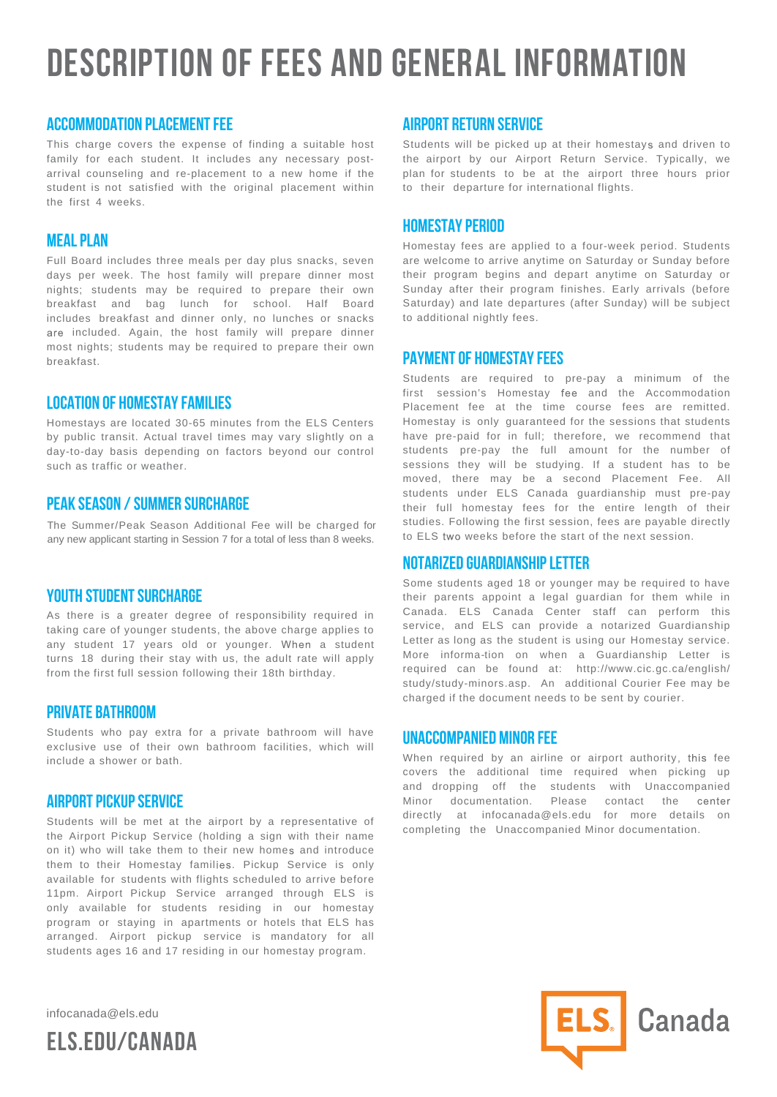### **DESCRIPTION OF FEES AND GENERAL INFORMATION**

#### **Accommodation Placement Fee**

This charge covers the expense of finding a suitable host family for each student. It includes any necessary postarrival counseling and re-placement to a new home if the student is not satisfied with the original placement within the first 4 weeks.

#### **Meal Plan**

Full Board includes three meals per day plus snacks, seven days per week. The host family will prepare dinner most nights; students may be required to prepare their own breakfast and bag lunch for school. Half Board includes breakfast and dinner only, no lunches or snacks are included. Again, the host family will prepare dinner most nights; students may be required to prepare their own breakfast.

#### **Location of Homestay Families**

Homestays are located 30-65 minutes from the ELS Centers by public transit. Actual travel times may vary slightly on a day-to-day basis depending on factors beyond our control such as traffic or weather.

#### **Peak Season / Summer Surcharge**

The Summer/Peak Season Additional Fee will be charged for any new applicant starting in Session 7 for a total of less than 8 weeks.

#### **Youth Student Surcharge**

As there is a greater degree of responsibility required in taking care of younger students, the above charge applies to any student 17 years old or younger. When a student turns 18 during their stay with us, the adult rate will apply from the first full session following their 18th birthday.

#### **Private Bathroom**

Students who pay extra for a private bathroom will have exclusive use of their own bathroom facilities, which will include a shower or bath.

#### **Airport Pickup Service**

Students will be met at the airport by a representative of the Airport Pickup Service (holding a sign with their name on it) who will take them to their new homes and introduce them to their Homestay families. Pickup Service is only available for students with flights scheduled to arrive before 11pm. Airport Pickup Service arranged through ELS is only available for students residing in our homestay program or staying in apartments or hotels that ELS has arranged. Airport pickup service is mandatory for all students ages 16 and 17 residing in our homestay program.

infocanada@els.edu



#### **Airport Return Service**

Students will be picked up at their homestays and driven to the airport by our Airport Return Service. Typically, we plan for students to be at the airport three hours prior to their departure for international flights.

#### **Homestay Period**

Homestay fees are applied to a four-week period. Students are welcome to arrive anytime on Saturday or Sunday before their program begins and depart anytime on Saturday or Sunday after their program finishes. Early arrivals (before Saturday) and late departures (after Sunday) will be subject to additional nightly fees.

#### **Payment of Homestay Fees**

Students are required to pre-pay a minimum of the first session's Homestay fee and the Accommodation Placement fee at the time course fees are remitted. Homestay is only guaranteed for the sessions that students have pre-paid for in full; therefore, we recommend that students pre-pay the full amount for the number of sessions they will be studying. If a student has to be moved, there may be a second Placement Fee. All students under ELS Canada guardianship must pre-pay their full homestay fees for the entire length of their studies. Following the first session, fees are payable directly to ELS two weeks before the start of the next session.

#### **Notarized Guardianship Letter**

Some students aged 18 or younger may be required to have their parents appoint a legal guardian for them while in Canada. ELS Canada Center staff can perform this service, and ELS can provide a notarized Guardianship Letter as long as the student is using our Homestay service. More informa-tion on when a Guardianship Letter is required can be found at: http://www.cic.gc.ca/english/ study/study-minors.asp. An additional Courier Fee may be charged if the document needs to be sent by courier.

#### **Unaccompanied Minor Fee**

When required by an airline or airport authority, this fee covers the additional time required when picking up and dropping off the students with Unaccompanied Minor documentation. Please contact the center directly at infocanada@els.edu for more details on completing the Unaccompanied Minor documentation.